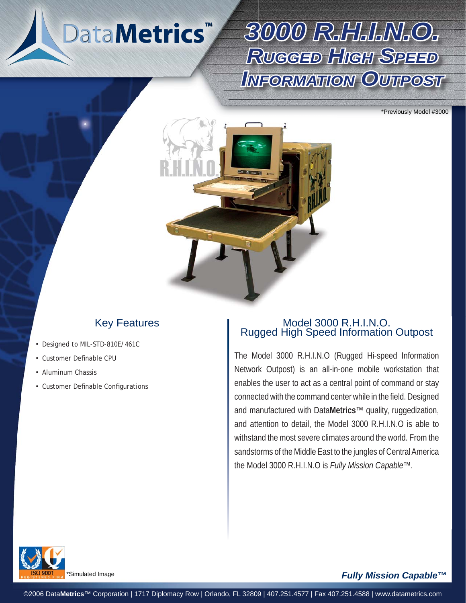## DataMetrics<sup>®</sup>

# *3000 R.H.I.N.O. 000 RUGGEDHIGHSPEED INFORMATION OUTPOST*

\*Previously Model #3000



### Key Features

- Designed to MIL-STD-810E/461C
- Customer Definable CPU •
- Aluminum Chassis •
- Customer Definable Configurations

#### Model 3000 R.H.I.N.O. Rugged High Speed Information Outpost

The Model 3000 R.H.I.N.O (Rugged Hi-speed Information Network Outpost) is an all-in-one mobile workstation that enables the user to act as a central point of command or stay connected with the command center while in the field. Designed and manufactured with Data**Metrics**™ quality, ruggedization, and attention to detail, the Model 3000 R.H.I.N.O is able to withstand the most severe climates around the world. From the sandstorms of the Middle East to the jungles of Central America the Model 3000 R.H.I.N.O is *Fully Mission Capable™*.



#### *Fully Mission Capable™*